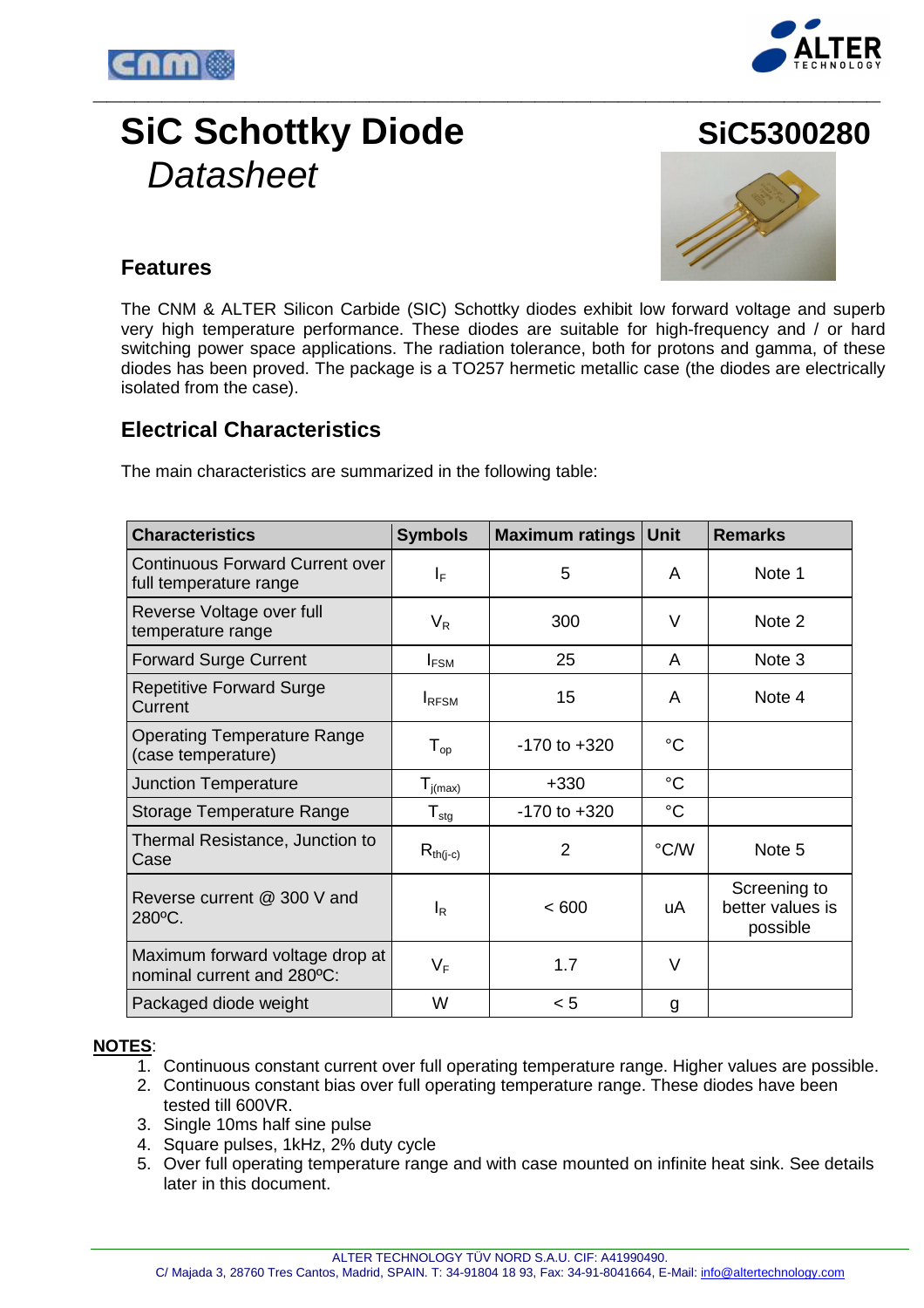



# **SiC Schottky Diode SiC5300280 Datasheet**



### **Features**

The CNM & ALTER Silicon Carbide (SIC) Schottky diodes exhibit low forward voltage and superb very high temperature performance. These diodes are suitable for high-frequency and / or hard switching power space applications. The radiation tolerance, both for protons and gamma, of these diodes has been proved. The package is a TO257 hermetic metallic case (the diodes are electrically isolated from the case).

### **Electrical Characteristics**

The main characteristics are summarized in the following table:

| <b>Characteristics</b>                                           | <b>Symbols</b>               | <b>Maximum ratings</b> | <b>Unit</b> | <b>Remarks</b>                               |
|------------------------------------------------------------------|------------------------------|------------------------|-------------|----------------------------------------------|
| <b>Continuous Forward Current over</b><br>full temperature range | $\mathsf{I}_\mathsf{F}$      | 5                      | A           | Note 1                                       |
| Reverse Voltage over full<br>temperature range                   | $V_R$                        | 300                    | V           | Note 2                                       |
| <b>Forward Surge Current</b>                                     | $I_{FSM}$                    | 25                     | A           | Note 3                                       |
| <b>Repetitive Forward Surge</b><br>Current                       | <b>I</b> RFSM                | 15                     | A           | Note 4                                       |
| <b>Operating Temperature Range</b><br>(case temperature)         | ${\mathsf T}_{\textsf{op}}$  | $-170$ to $+320$       | $^{\circ}C$ |                                              |
| <b>Junction Temperature</b>                                      | $T_{i(max)}$                 | $+330$                 | $^{\circ}C$ |                                              |
| Storage Temperature Range                                        | ${\mathsf T}_{\textsf{stg}}$ | $-170$ to $+320$       | $^{\circ}C$ |                                              |
| Thermal Resistance, Junction to<br>Case                          | $R_{th(j-c)}$                | 2                      | °C/W        | Note 5                                       |
| Reverse current @ 300 V and<br>280°C.                            | IR                           | < 600                  | uA          | Screening to<br>better values is<br>possible |
| Maximum forward voltage drop at<br>nominal current and 280°C:    | $V_F$                        | 1.7                    | V           |                                              |
| Packaged diode weight                                            | W                            | < 5                    | g           |                                              |

### **NOTES**:

- 1. Continuous constant current over full operating temperature range. Higher values are possible.
- 2. Continuous constant bias over full operating temperature range. These diodes have been tested till 600VR.
- 3. Single 10ms half sine pulse
- 4. Square pulses, 1kHz, 2% duty cycle
- 5. Over full operating temperature range and with case mounted on infinite heat sink. See details later in this document.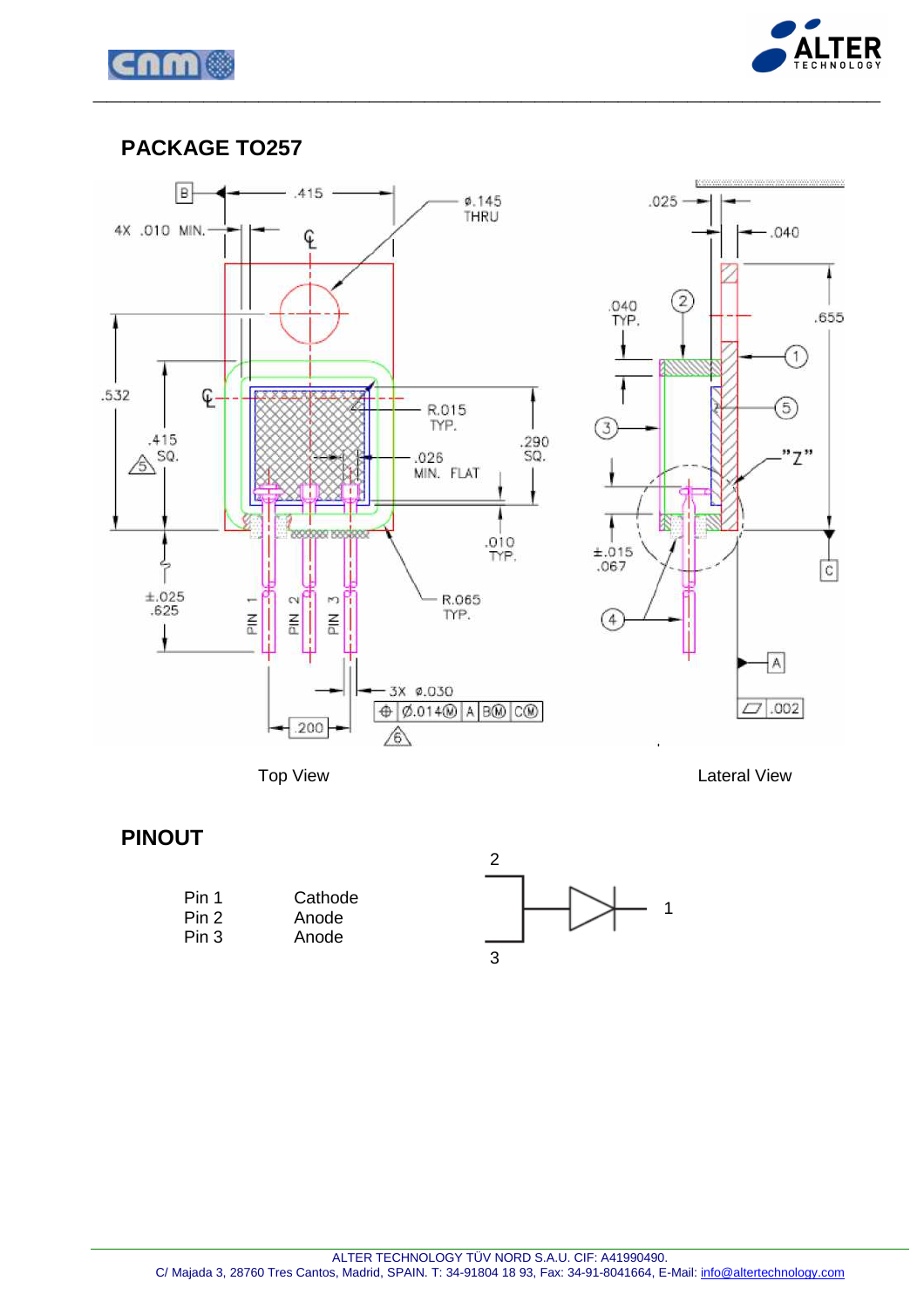



### **PACKAGE TO257**



Top View Lateral View

## **PINOUT**

| Pin 1 | Cathode |
|-------|---------|
| Pin 2 | Anode   |
| Pin 3 | Anode   |

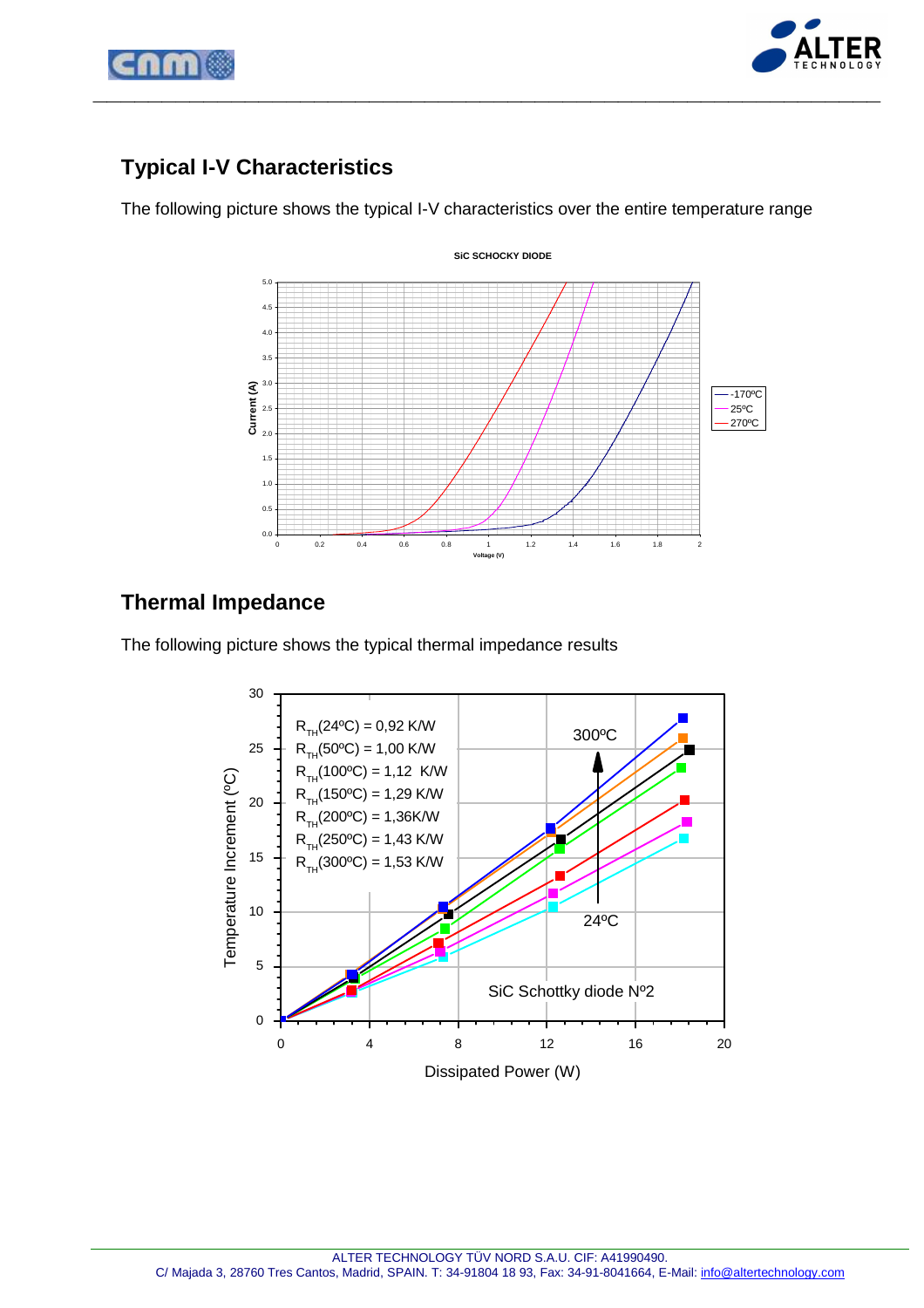



# **Typical I-V Characteristics**

The following picture shows the typical I-V characteristics over the entire temperature range



# **Thermal Impedance**

The following picture shows the typical thermal impedance results